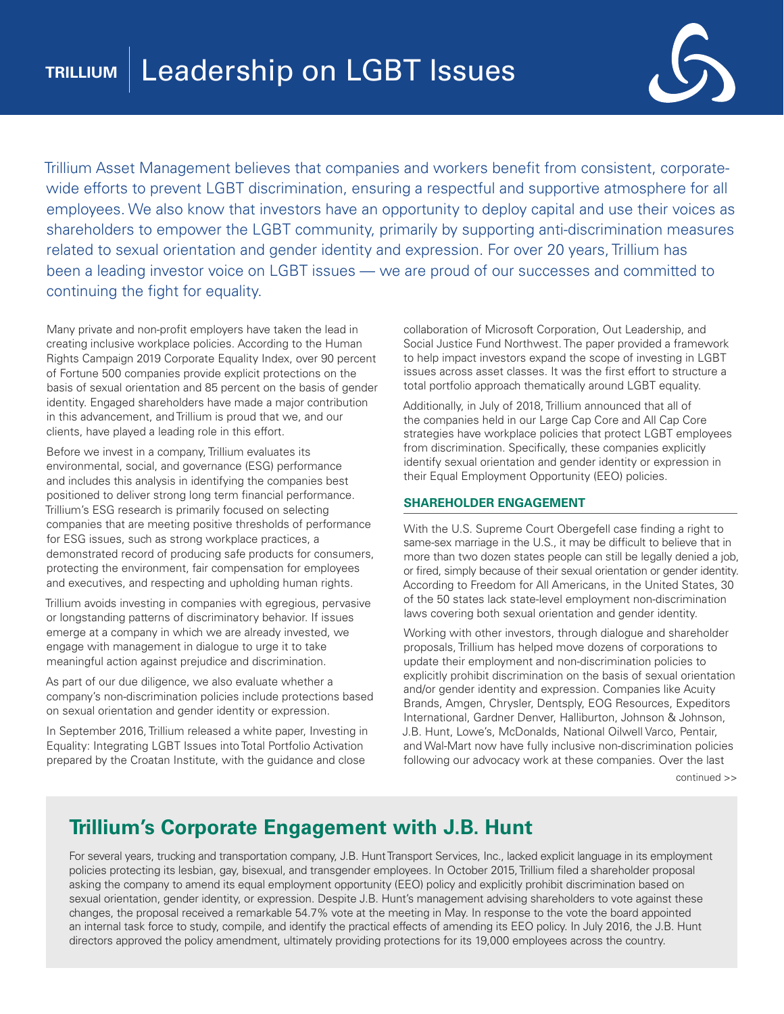

Trillium Asset Management believes that companies and workers benefit from consistent, corporatewide efforts to prevent LGBT discrimination, ensuring a respectful and supportive atmosphere for all employees. We also know that investors have an opportunity to deploy capital and use their voices as shareholders to empower the LGBT community, primarily by supporting anti-discrimination measures related to sexual orientation and gender identity and expression. For over 20 years, Trillium has been a leading investor voice on LGBT issues — we are proud of our successes and committed to continuing the fight for equality.

Many private and non-profit employers have taken the lead in creating inclusive workplace policies. According to the Human Rights Campaign 2019 Corporate Equality Index, over 90 percent of Fortune 500 companies provide explicit protections on the basis of sexual orientation and 85 percent on the basis of gender identity. Engaged shareholders have made a major contribution in this advancement, and Trillium is proud that we, and our clients, have played a leading role in this effort.

Before we invest in a company, Trillium evaluates its environmental, social, and governance (ESG) performance and includes this analysis in identifying the companies best positioned to deliver strong long term financial performance. Trillium's ESG research is primarily focused on selecting companies that are meeting positive thresholds of performance for ESG issues, such as strong workplace practices, a demonstrated record of producing safe products for consumers, protecting the environment, fair compensation for employees and executives, and respecting and upholding human rights.

Trillium avoids investing in companies with egregious, pervasive or longstanding patterns of discriminatory behavior. If issues emerge at a company in which we are already invested, we engage with management in dialogue to urge it to take meaningful action against prejudice and discrimination.

As part of our due diligence, we also evaluate whether a company's non-discrimination policies include protections based on sexual orientation and gender identity or expression.

In September 2016, Trillium released a white paper, Investing in Equality: Integrating LGBT Issues into Total Portfolio Activation prepared by the Croatan Institute, with the guidance and close

collaboration of Microsoft Corporation, Out Leadership, and Social Justice Fund Northwest. The paper provided a framework to help impact investors expand the scope of investing in LGBT issues across asset classes. It was the first effort to structure a total portfolio approach thematically around LGBT equality.

Additionally, in July of 2018, Trillium announced that all of the companies held in our Large Cap Core and All Cap Core strategies have workplace policies that protect LGBT employees from discrimination. Specifically, these companies explicitly identify sexual orientation and gender identity or expression in their Equal Employment Opportunity (EEO) policies.

## **SHAREHOLDER ENGAGEMENT**

With the U.S. Supreme Court Obergefell case finding a right to same-sex marriage in the U.S., it may be difficult to believe that in more than two dozen states people can still be legally denied a job, or fired, simply because of their sexual orientation or gender identity. According to Freedom for All Americans, in the United States, 30 of the 50 states lack state-level employment non-discrimination laws covering both sexual orientation and gender identity.

Working with other investors, through dialogue and shareholder proposals, Trillium has helped move dozens of corporations to update their employment and non-discrimination policies to explicitly prohibit discrimination on the basis of sexual orientation and/or gender identity and expression. Companies like Acuity Brands, Amgen, Chrysler, Dentsply, EOG Resources, Expeditors International, Gardner Denver, Halliburton, Johnson & Johnson, J.B. Hunt, Lowe's, McDonalds, National Oilwell Varco, Pentair, and Wal-Mart now have fully inclusive non-discrimination policies following our advocacy work at these companies. Over the last

continued >>

## **Trillium's Corporate Engagement with J.B. Hunt**

For several years, trucking and transportation company, J.B. Hunt Transport Services, Inc., lacked explicit language in its employment policies protecting its lesbian, gay, bisexual, and transgender employees. In October 2015, Trillium filed a shareholder proposal asking the company to amend its equal employment opportunity (EEO) policy and explicitly prohibit discrimination based on sexual orientation, gender identity, or expression. Despite J.B. Hunt's management advising shareholders to vote against these changes, the proposal received a remarkable 54.7% vote at the meeting in May. In response to the vote the board appointed an internal task force to study, compile, and identify the practical effects of amending its EEO policy. In July 2016, the J.B. Hunt directors approved the policy amendment, ultimately providing protections for its 19,000 employees across the country.